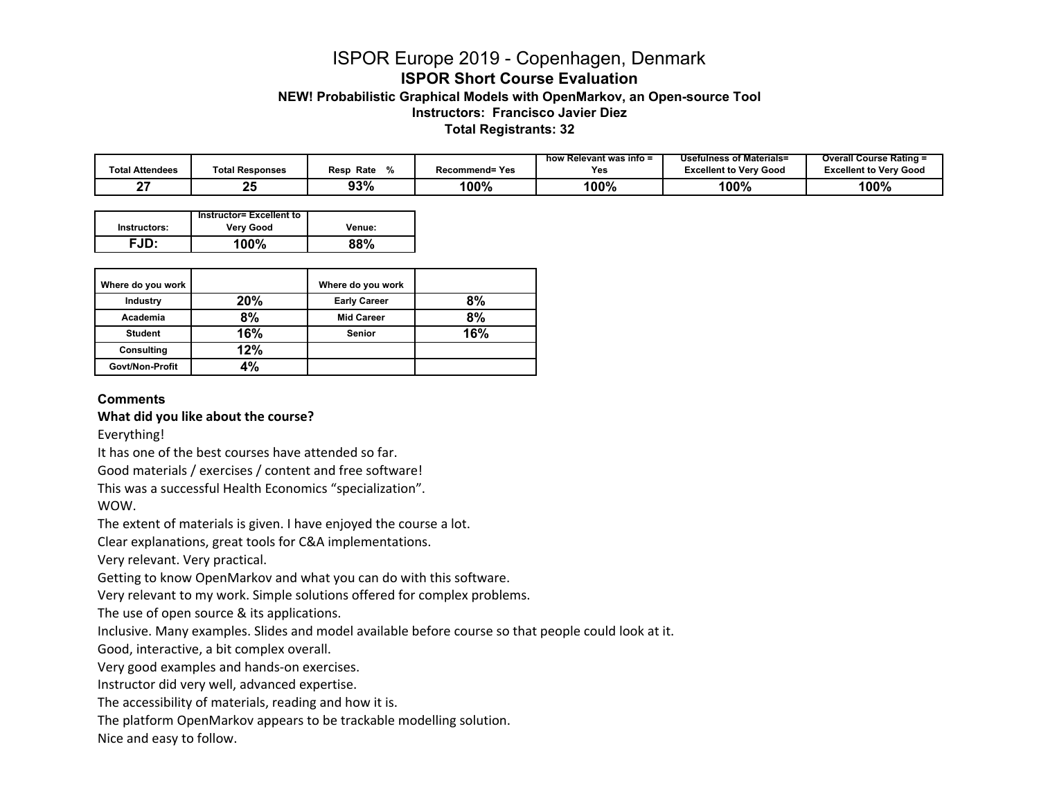# ISPOR Europe 2019 - Copenhagen, Denmark **ISPOR Short Course Evaluation**

**NEW! Probabilistic Graphical Models with OpenMarkov, an Open-source Tool**

**Instructors: Francisco Javier Diez**

 **Total Registrants: 32**

|                 |                        |              |                | <sup>,</sup> Relevant was info =<br>how | Usefulness of Materials=      | <b>Overall Course Rating =</b> |
|-----------------|------------------------|--------------|----------------|-----------------------------------------|-------------------------------|--------------------------------|
| Total Attendees | <b>Total Responses</b> | Rate<br>Resp | Recommend= Yes | Yes                                     | <b>Excellent to Verv Good</b> | <b>Excellent to Verv Good</b>  |
|                 | つに<br>∸                | 93%          | 100%           | 100%                                    | 100%                          | 100%                           |

|              | Instructor= Excellent to |             |
|--------------|--------------------------|-------------|
| Instructors: | <b>Very Good</b>         | Venue:      |
| ⊂.ID∙        | $100\%$                  | <b>QQ0/</b> |

| Where do you work |     | Where do you work   |     |
|-------------------|-----|---------------------|-----|
| Industry          | 20% | <b>Early Career</b> | 8%  |
| Academia          | 8%  | <b>Mid Career</b>   | 8%  |
| <b>Student</b>    | 16% | <b>Senior</b>       | 16% |
| Consulting        | 12% |                     |     |
| Govt/Non-Profit   | 4%  |                     |     |

#### **Comments**

**What did you like about the course?**

Everything!

It has one of the best courses have attended so far.

Good materials / exercises / content and free software!

This was a successful Health Economics "specialization".

WOW.

The extent of materials is given. I have enjoyed the course <sup>a</sup> lot.

Clear explanations, great tools for C&A implementations.

Very relevant. Very practical.

Getting to know OpenMarkov and what you can do with this software.

Very relevant to my work. Simple solutions offered for complex problems.

The use of open source & its applications.

Inclusive. Many examples. Slides and model available before course so that people could look at it.

Good, interactive, <sup>a</sup> bit complex overall.

Very good examples and hands‐on exercises.

Instructor did very well, advanced expertise.

The accessibility of materials, reading and how it is.

The platform OpenMarkov appears to be trackable modelling solution.

Nice and easy to follow.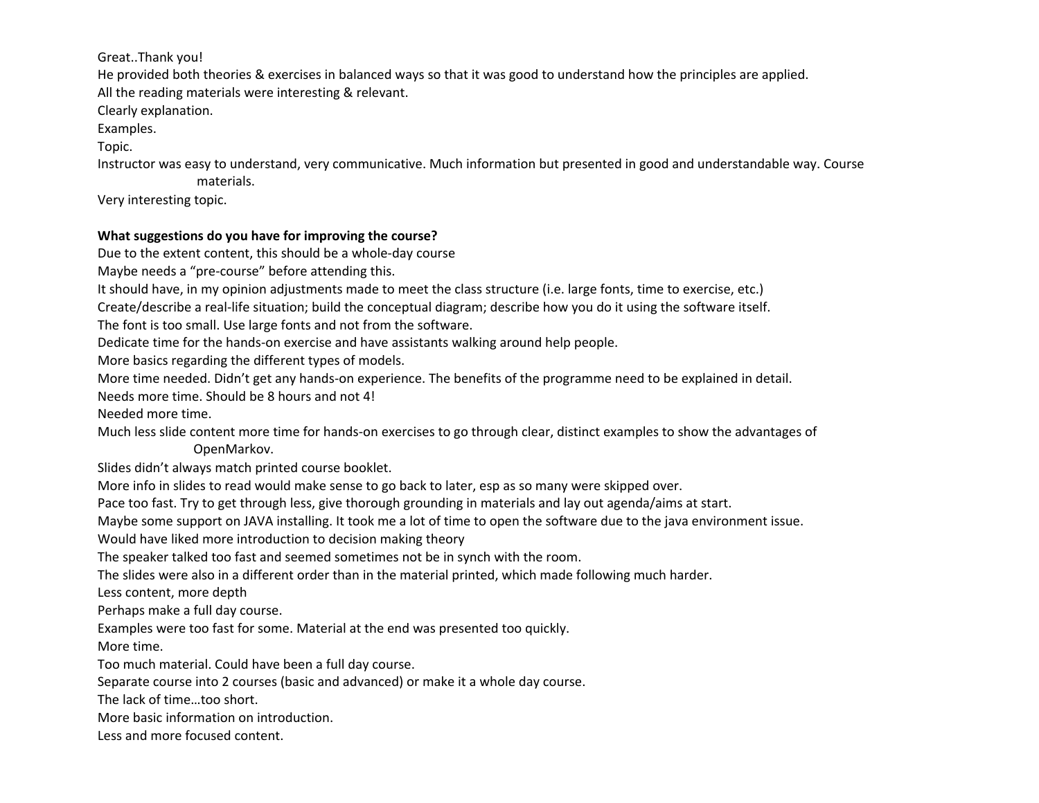# Great..Thank you!

He provided both theories & exercises in balanced ways so that it was good to understand how the principles are applied.

All the reading materials were interesting & relevant.

Clearly explanation.

Examples.

Topic.

Instructor was easy to understand, very communicative. Much information but presented in good and understandable way. Course materials.

Very interesting topic.

# **What suggestions do you have for improving the course?**

Due to the extent content, this should be <sup>a</sup> whole‐day course

Maybe needs <sup>a</sup> "pre‐course" before attending this.

It should have, in my opinion adjustments made to meet the class structure (i.e. large fonts, time to exercise, etc.)

Create/describe <sup>a</sup> real‐life situation; build the conceptual diagram; describe how you do it using the software itself.

The font is too small. Use large fonts and not from the software.

Dedicate time for the hands‐on exercise and have assistants walking around help people.

More basics regarding the different types of models.

More time needed. Didn't get any hands‐on experience. The benefits of the programme need to be explained in detail.

Needs more time. Should be 8 hours and not 4!

Needed more time.

Much less slide content more time for hands‐on exercises to go through clear, distinct examples to show the advantages of OpenMarkov.

Slides didn't always match printed course booklet.

More info in slides to read would make sense to go back to later, esp as so many were skipped over.

Pace too fast. Try to get through less, give thorough grounding in materials and lay out agenda/aims at start.

Maybe some support on JAVA installing. It took me <sup>a</sup> lot of time to open the software due to the java environment issue.

Would have liked more introduction to decision making theory

The speaker talked too fast and seemed sometimes not be in synch with the room.

The slides were also in <sup>a</sup> different order than in the material printed, which made following much harder.

Less content, more depth

Perhaps make <sup>a</sup> full day course.

Examples were too fast for some. Material at the end was presented too quickly.

More time.

Too much material. Could have been <sup>a</sup> full day course.

Separate course into 2 courses (basic and advanced) or make it <sup>a</sup> whole day course.

The lack of time…too short.

More basic information on introduction.

Less and more focused content.